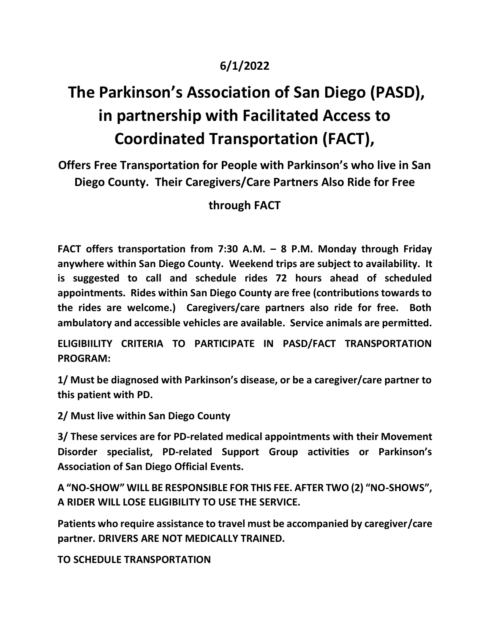## **6/1/2022**

## **The Parkinson's Association of San Diego (PASD), in partnership with Facilitated Access to Coordinated Transportation (FACT),**

**Offers Free Transportation for People with Parkinson's who live in San Diego County. Their Caregivers/Care Partners Also Ride for Free**

## **through FACT**

**FACT offers transportation from 7:30 A.M. – 8 P.M. Monday through Friday anywhere within San Diego County. Weekend trips are subject to availability. It is suggested to call and schedule rides 72 hours ahead of scheduled appointments. Rides within San Diego County are free (contributions towards to the rides are welcome.) Caregivers/care partners also ride for free. Both ambulatory and accessible vehicles are available. Service animals are permitted.**

**ELIGIBIILITY CRITERIA TO PARTICIPATE IN PASD/FACT TRANSPORTATION PROGRAM:**

**1/ Must be diagnosed with Parkinson's disease, or be a caregiver/care partner to this patient with PD.**

**2/ Must live within San Diego County**

**3/ These services are for PD-related medical appointments with their Movement Disorder specialist, PD-related Support Group activities or Parkinson's Association of San Diego Official Events.**

**A "NO-SHOW" WILL BE RESPONSIBLE FOR THIS FEE. AFTER TWO (2) "NO-SHOWS", A RIDER WILL LOSE ELIGIBILITY TO USE THE SERVICE.**

**Patients who require assistance to travel must be accompanied by caregiver/care partner. DRIVERS ARE NOT MEDICALLY TRAINED.**

**TO SCHEDULE TRANSPORTATION**